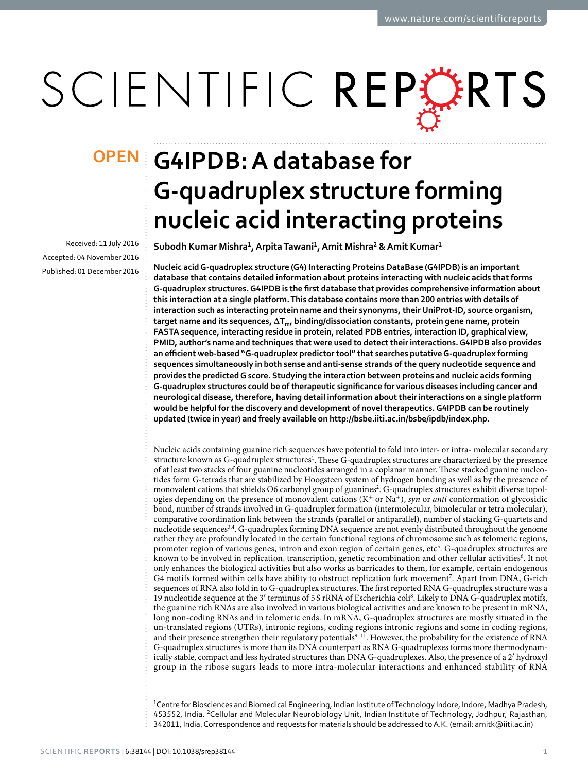# SCIENTIFIC REPERTS

Received: 11 July 2016 Accepted: 04 November 2016 Published: 01 December 2016

# **G4IPDB: A database for OPENG-quadruplex structure forming nucleic acid interacting proteins**

**Subodh Kumar Mishra<sup>1</sup> , Arpita Tawani<sup>1</sup> , Amit Mishra<sup>2</sup> & Amit Kumar<sup>1</sup>**

**Nucleic acid G-quadruplex structure (G4) Interacting Proteins DataBase (G4IPDB) is an important database that contains detailed information about proteins interacting with nucleic acids that forms G-quadruplex structures. G4IPDB is the first database that provides comprehensive information about this interaction at a single platform. This database contains more than 200 entries with details of interaction such as interacting protein name and their synonyms, their UniProt-ID, source organism, target name and its sequences, ∆Tm, binding/dissociation constants, protein gene name, protein FASTA sequence, interacting residue in protein, related PDB entries, interaction ID, graphical view, PMID, author's name and techniques that were used to detect their interactions. G4IPDB also provides an efficient web-based "G-quadruplex predictor tool" that searches putative G-quadruplex forming sequences simultaneously in both sense and anti-sense strands of the query nucleotide sequence and provides the predicted G score. Studying the interaction between proteins and nucleic acids forming G-quadruplex structures could be of therapeutic significance for various diseases including cancer and neurological disease, therefore, having detail information about their interactions on a single platform would be helpful for the discovery and development of novel therapeutics. G4IPDB can be routinely updated (twice in year) and freely available on [http://bsbe.iiti.ac.in/bsbe/ipdb/index.php.](http://bsbe.iiti.ac.in/bsbe/ipdb/index.php)**

Nucleic acids containing guanine rich sequences have potential to fold into inter- or intra- molecular secondary structure known as G-quadruplex structures<sup>[1](#page-7-0)</sup>. These G-quadruplex structures are characterized by the presence of at least two stacks of four guanine nucleotides arranged in a coplanar manner. These stacked guanine nucleotides form G-tetrads that are stabilized by Hoogsteen system of hydrogen bonding as well as by the presence of monovalent cations that shields O6 carbonyl group of guanines<sup>[2](#page-7-1)</sup>. G-quadruplex structures exhibit diverse topologies depending on the presence of monovalent cations  $(K^+ \text{ or } Na^+)$ , syn or anti conformation of glycosidic bond, number of strands involved in G-quadruplex formation (intermolecular, bimolecular or tetra molecular), comparative coordination link between the strands (parallel or antiparallel), number of stacking G-quartets and nucleotide sequences<sup>[3](#page-7-2),[4](#page-7-3)</sup>. G-quadruplex forming DNA sequence are not evenly distributed throughout the genome rather they are profoundly located in the certain functional regions of chromosome such as telomeric regions, promoter region of various genes, intron and exon region of certain genes, etc<sup>[5](#page-7-4)</sup>. G-quadruplex structures are known to be involved in replication, transcription, genetic recombination and other cellular activities<sup>[6](#page-7-5)</sup>. It not only enhances the biological activities but also works as barricades to them, for example, certain endogenous G4 motifs formed within cells have ability to obstruct replication fork movement<sup>[7](#page-7-6)</sup>. Apart from DNA, G-rich sequences of RNA also fold in to G-quadruplex structures. The first reported RNA G-quadruplex structure was a 19 nucleotide sequence at the 3′ terminus of 5 S rRNA of Escherichia coli[8](#page-7-7) . Likely to DNA G-quadruplex motifs, the guanine rich RNAs are also involved in various biological activities and are known to be present in mRNA, long non-coding RNAs and in telomeric ends. In mRNA, G-quadruplex structures are mostly situated in the un-translated regions (UTRs), intronic regions, coding regions intronic regions and some in coding regions, and their presence strengthen their regulatory potentials<sup>9-11</sup>. However, the probability for the existence of RNA G-quadruplex structures is more than its DNA counterpart as RNA G-quadruplexes forms more thermodynamically stable, compact and less hydrated structures than DNA G-quadruplexes. Also, the presence of a 2′ hydroxyl group in the ribose sugars leads to more intra-molecular interactions and enhanced stability of RNA

<sup>1</sup>Centre for Biosciences and Biomedical Engineering, Indian Institute of Technology Indore, Indore, Madhya Pradesh, 453552, India. <sup>2</sup>Cellular and Molecular Neurobiology Unit, Indian Institute of Technology, Jodhpur, Rajasthan, 342011, India. Correspondence and requests for materials should be addressed to A.K. (email: [amitk@iiti.ac.in\)](mailto:amitk@iiti.ac.in)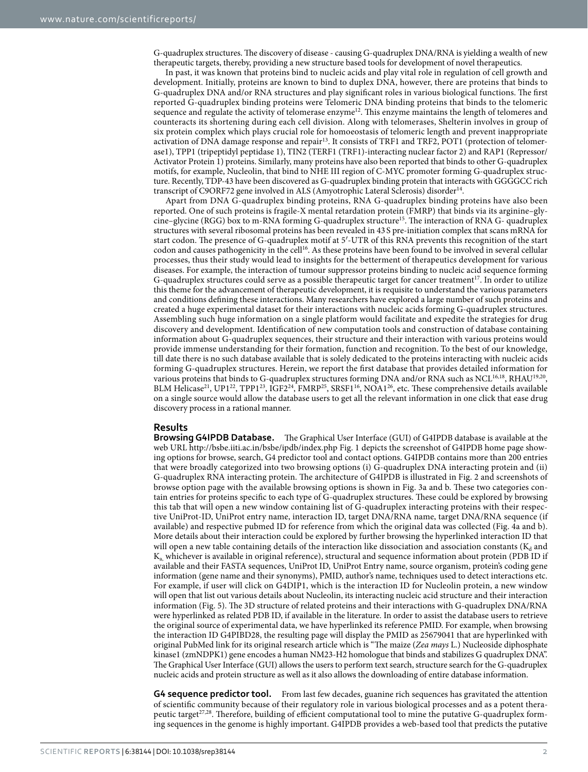G-quadruplex structures. The discovery of disease - causing G-quadruplex DNA/RNA is yielding a wealth of new therapeutic targets, thereby, providing a new structure based tools for development of novel therapeutics.

In past, it was known that proteins bind to nucleic acids and play vital role in regulation of cell growth and development. Initially, proteins are known to bind to duplex DNA, however, there are proteins that binds to G-quadruplex DNA and/or RNA structures and play significant roles in various biological functions. The first reported G-quadruplex binding proteins were Telomeric DNA binding proteins that binds to the telomeric sequence and regulate the activity of telomerase enzyme[12](#page-7-9). This enzyme maintains the length of telomeres and counteracts its shortening during each cell division. Along with telomerases, Shelterin involves in group of six protein complex which plays crucial role for homoeostasis of telomeric length and prevent inappropriate activation of DNA damage response and repair[13](#page-7-10). It consists of TRF1 and TRF2, POT1 (protection of telomerase1), TPP1 (tripeptidyl peptidase 1), TIN2 (TERF1 (TRF1)-interacting nuclear factor 2) and RAP1 (Repressor/ Activator Protein 1) proteins. Similarly, many proteins have also been reported that binds to other G-quadruplex motifs, for example, Nucleolin, that bind to NHE III region of C-MYC promoter forming G-quadruplex structure. Recently, TDP-43 have been discovered as G-quadruplex binding protein that interacts with GGGGCC rich transcript of C9ORF72 gene involved in ALS (Amyotrophic Lateral Sclerosis) disorder<sup>[14](#page-7-11)</sup>.

Apart from DNA G-quadruplex binding proteins, RNA G-quadruplex binding proteins have also been reported. One of such proteins is fragile-X mental retardation protein (FMRP) that binds via its arginine–glycine–glycine (RGG) box to m-RNA forming G-quadruplex structure[15](#page-7-12). The interaction of RNA G- quadruplex structures with several ribosomal proteins has been revealed in 43 S pre-initiation complex that scans mRNA for start codon. The presence of G-quadruplex motif at 5′-UTR of this RNA prevents this recognition of the start codon and causes pathogenicity in the cell[16](#page-7-13). As these proteins have been found to be involved in several cellular processes, thus their study would lead to insights for the betterment of therapeutics development for various diseases. For example, the interaction of tumour suppressor proteins binding to nucleic acid sequence forming G-quadruplex structures could serve as a possible therapeutic target for cancer treatment<sup>[17](#page-7-14)</sup>. In order to utilize this theme for the advancement of therapeutic development, it is requisite to understand the various parameters and conditions defining these interactions. Many researchers have explored a large number of such proteins and created a huge experimental dataset for their interactions with nucleic acids forming G-quadruplex structures. Assembling such huge information on a single platform would facilitate and expedite the strategies for drug discovery and development. Identification of new computation tools and construction of database containing information about G-quadruplex sequences, their structure and their interaction with various proteins would provide immense understanding for their formation, function and recognition. To the best of our knowledge, till date there is no such database available that is solely dedicated to the proteins interacting with nucleic acids forming G-quadruplex structures. Herein, we report the first database that provides detailed information for various proteins that binds to G-quadruplex structures forming DNA and/or RNA such as NCL<sup>[16](#page-7-13),[18](#page-7-15)</sup>, RHAU<sup>[19,](#page-7-16)[20](#page-7-17)</sup>, BLM Helicase<sup>[21](#page-7-18)</sup>, UP1<sup>[22](#page-7-19)</sup>, TPP1<sup>[23](#page-7-20)</sup>, IGF2<sup>[24](#page-7-21)</sup>, FMRP<sup>[25](#page-7-22)</sup>, SRSF1<sup>[16](#page-7-13)</sup>, NOA1<sup>[26](#page-7-23)</sup>, etc. These comprehensive details available on a single source would allow the database users to get all the relevant information in one click that ease drug discovery process in a rational manner.

# **Results**

**Browsing G4IPDB Database.** The Graphical User Interface (GUI) of G4IPDB database is available at the web URL <http://bsbe.iiti.ac.in/bsbe/ipdb/index.php>[Fig. 1](#page-2-0) depicts the screenshot of G4IPDB home page showing options for browse, search, G4 predictor tool and contact options. G4IPDB contains more than 200 entries that were broadly categorized into two browsing options (i) G-quadruplex DNA interacting protein and (ii) G-quadruplex RNA interacting protein. The architecture of G4IPDB is illustrated in [Fig. 2](#page-3-0) and screenshots of browse option page with the available browsing options is shown in [Fig. 3a and b](#page-4-0). These two categories contain entries for proteins specific to each type of G-quadruplex structures. These could be explored by browsing this tab that will open a new window containing list of G-quadruplex interacting proteins with their respective UniProt-ID, UniProt entry name, interaction ID, target DNA/RNA name, target DNA/RNA sequence (if available) and respective pubmed ID for reference from which the original data was collected [\(Fig. 4a and b](#page-5-0)). More details about their interaction could be explored by further browsing the hyperlinked interaction ID that will open a new table containing details of the interaction like dissociation and association constants ( $K_d$  and Ka, whichever is available in original reference), structural and sequence information about protein (PDB ID if available and their FASTA sequences, UniProt ID, UniProt Entry name, source organism, protein's coding gene information (gene name and their synonyms), PMID, author's name, techniques used to detect interactions etc. For example, if user will click on G4DIP1, which is the interaction ID for Nucleolin protein, a new window will open that list out various details about Nucleolin, its interacting nucleic acid structure and their interaction information ([Fig. 5\)](#page-5-1). The 3D structure of related proteins and their interactions with G-quadruplex DNA/RNA were hyperlinked as related PDB ID, if available in the literature. In order to assist the database users to retrieve the original source of experimental data, we have hyperlinked its reference PMID. For example, when browsing the interaction ID G4PIBD28, the resulting page will display the PMID as 25679041 that are hyperlinked with original PubMed link for its original research article which is "The maize (Zea mays L.) Nucleoside diphosphate kinase1 (zmNDPK1) gene encodes a human NM23-H2 homologue that binds and stabilizes G quadruplex DNA". The Graphical User Interface (GUI) allows the users to perform text search, structure search for the G-quadruplex nucleic acids and protein structure as well as it also allows the downloading of entire database information.

**G4 sequence predictor tool.** From last few decades, guanine rich sequences has gravitated the attention of scientific community because of their regulatory role in various biological processes and as a potent thera-peutic target<sup>[27](#page-7-24),[28](#page-7-25)</sup>. Therefore, building of efficient computational tool to mine the putative G-quadruplex forming sequences in the genome is highly important. G4IPDB provides a web-based tool that predicts the putative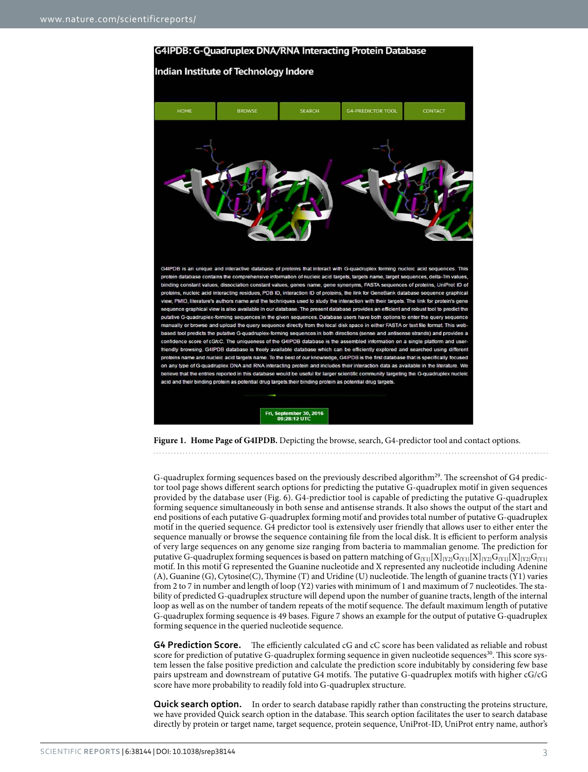

<span id="page-2-0"></span>

G-quadruplex forming sequences based on the previously described algorithm<sup>[29](#page-7-26)</sup>. The screenshot of G4 predictor tool page shows different search options for predicting the putative G-quadruplex motif in given sequences provided by the database user ([Fig. 6](#page-6-0)). G4-predictior tool is capable of predicting the putative G-quadruplex forming sequence simultaneously in both sense and antisense strands. It also shows the output of the start and end positions of each putative G-quadruplex forming motif and provides total number of putative G-quadruplex motif in the queried sequence. G4 predictor tool is extensively user friendly that allows user to either enter the sequence manually or browse the sequence containing file from the local disk. It is efficient to perform analysis of very large sequences on any genome size ranging from bacteria to mammalian genome. The prediction for putative G-quadruplex forming sequences is based on pattern matching of  $G_{[Y1]}[X]_{[Y2]}G_{[Y1]}[X]_{[Y2]}G_{[Y1]}[X]_{[Y2]}G_{[Y1]}$ motif. In this motif G represented the Guanine nucleotide and X represented any nucleotide including Adenine (A), Guanine (G), Cytosine(C), Thymine (T) and Uridine (U) nucleotide. The length of guanine tracts (Y1) varies from 2 to 7 in number and length of loop (Y2) varies with minimum of 1 and maximum of 7 nucleotides. The stability of predicted G-quadruplex structure will depend upon the number of guanine tracts, length of the internal loop as well as on the number of tandem repeats of the motif sequence. The default maximum length of putative G-quadruplex forming sequence is 49 bases. [Figure 7](#page-6-1) shows an example for the output of putative G-quadruplex forming sequence in the queried nucleotide sequence.

**G4 Prediction Score.** The efficiently calculated cG and cC score has been validated as reliable and robust score for prediction of putative G-quadruplex forming sequence in given nucleotide sequences<sup>[30](#page-7-27)</sup>. This score system lessen the false positive prediction and calculate the prediction score indubitably by considering few base pairs upstream and downstream of putative G4 motifs. The putative G-quadruplex motifs with higher cG/cG score have more probability to readily fold into G-quadruplex structure.

**Quick search option.** In order to search database rapidly rather than constructing the proteins structure, we have provided Quick search option in the database. This search option facilitates the user to search database directly by protein or target name, target sequence, protein sequence, UniProt-ID, UniProt entry name, author's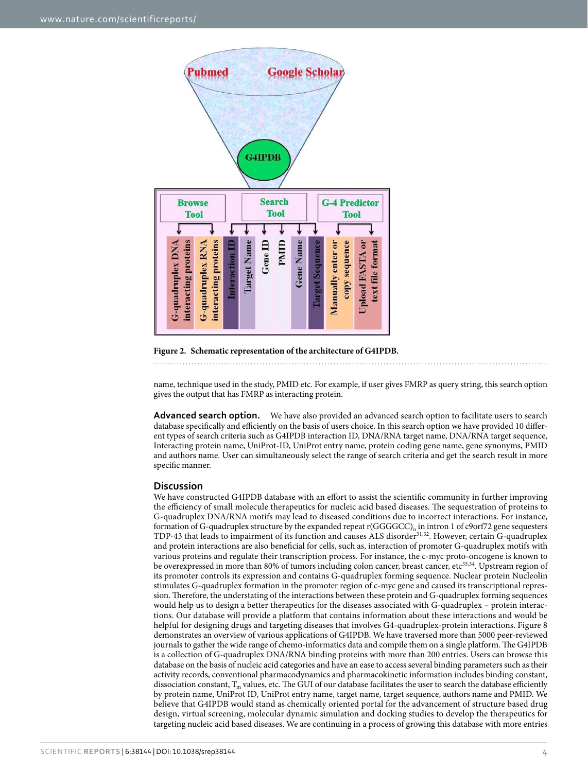

# <span id="page-3-0"></span>**Figure 2. Schematic representation of the architecture of G4IPDB.**

# 

name, technique used in the study, PMID etc. For example, if user gives FMRP as query string, this search option gives the output that has FMRP as interacting protein.

**Advanced search option.** We have also provided an advanced search option to facilitate users to search database specifically and efficiently on the basis of users choice. In this search option we have provided 10 different types of search criteria such as G4IPDB interaction ID, DNA/RNA target name, DNA/RNA target sequence, Interacting protein name, UniProt-ID, UniProt entry name, protein coding gene name, gene synonyms, PMID and authors name. User can simultaneously select the range of search criteria and get the search result in more specific manner.

# **Discussion**

We have constructed G4IPDB database with an effort to assist the scientific community in further improving the efficiency of small molecule therapeutics for nucleic acid based diseases. The sequestration of proteins to G-quadruplex DNA/RNA motifs may lead to diseased conditions due to incorrect interactions. For instance, formation of G-quadruplex structure by the expanded repeat r(GGGGCC)<sub>n</sub> in intron 1 of c9orf72 gene sequesters TDP-43 that leads to impairment of its function and causes ALS disorder[31,](#page-7-28)[32](#page-7-29). However, certain G-quadruplex and protein interactions are also beneficial for cells, such as, interaction of promoter G-quadruplex motifs with various proteins and regulate their transcription process. For instance, the c-myc proto-oncogene is known to be overexpressed in more than 80% of tumors including colon cancer, breast cancer, etc<sup>[33](#page-7-30)[,34](#page-7-31)</sup>. Upstream region of its promoter controls its expression and contains G-quadruplex forming sequence. Nuclear protein Nucleolin stimulates G-quadruplex formation in the promoter region of c-myc gene and caused its transcriptional repression. Therefore, the understating of the interactions between these protein and G-quadruplex forming sequences would help us to design a better therapeutics for the diseases associated with G-quadruplex – protein interactions. Our database will provide a platform that contains information about these interactions and would be helpful for designing drugs and targeting diseases that involves G4-quadruplex-protein interactions. [Figure 8](#page-6-2)  demonstrates an overview of various applications of G4IPDB. We have traversed more than 5000 peer-reviewed journals to gather the wide range of chemo-informatics data and compile them on a single platform. The G4IPDB is a collection of G-quadruplex DNA/RNA binding proteins with more than 200 entries. Users can browse this database on the basis of nucleic acid categories and have an ease to access several binding parameters such as their activity records, conventional pharmacodynamics and pharmacokinetic information includes binding constant, dissociation constant,  $T_m$  values, etc. The GUI of our database facilitates the user to search the database efficiently by protein name, UniProt ID, UniProt entry name, target name, target sequence, authors name and PMID. We believe that G4IPDB would stand as chemically oriented portal for the advancement of structure based drug design, virtual screening, molecular dynamic simulation and docking studies to develop the therapeutics for targeting nucleic acid based diseases. We are continuing in a process of growing this database with more entries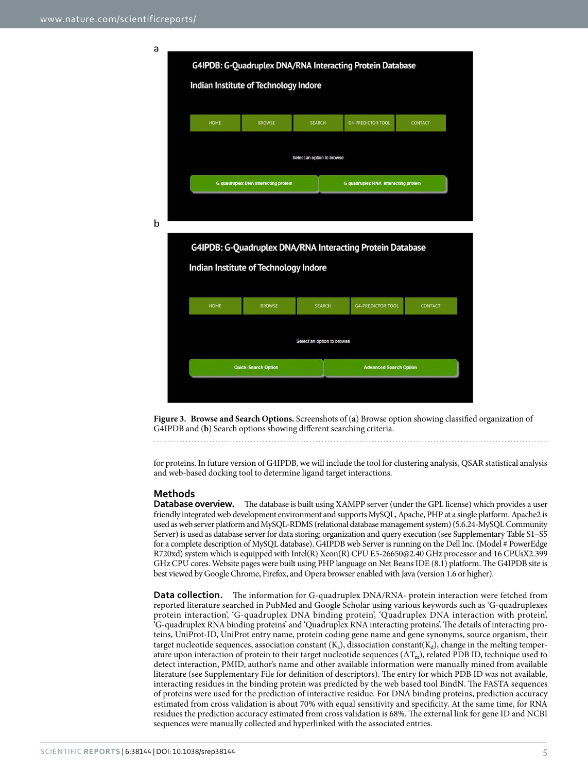G4IPDB: G-Quadruplex DNA/RNA Interacting Protein Database Indian Institute of Technology Indore **LIOM** ROOMS SEARCH **G4-PREDICTOR TOOL**  $COMTAC$ Select an option to browse **G-quadruplex DNA interacting protein G-quadruplex RNA** interacting protein

b

a



<span id="page-4-0"></span>**Figure 3. Browse and Search Options.** Screenshots of (**a**) Browse option showing classified organization of G4IPDB and (**b**) Search options showing different searching criteria.

for proteins. In future version of G4IPDB, we will include the tool for clustering analysis, QSAR statistical analysis and web-based docking tool to determine ligand target interactions.

# **Methods**

**Database overview.** The database is built using XAMPP server (under the GPL license) which provides a user friendly integrated web development environment and supports MySQL, Apache, PHP at a single platform. Apache2 is used as web server platform and MySQL-RDMS (relational database management system) (5.6.24-MySQL Community Server) is used as database server for data storing; organization and query execution (see Supplementary Table S1–S5 for a complete description of MySQL database). G4IPDB web Server is running on the Dell Inc. (Model # PowerEdge R720xd) system which is equipped with Intel(R) Xeon(R) CPU E5-26650@2.40 GHz processor and 16 CPUsX2.399 GHz CPU cores. Website pages were built using PHP language on Net Beans IDE (8.1) platform. The G4IPDB site is best viewed by Google Chrome, Firefox, and Opera browser enabled with Java (version 1.6 or higher).

**Data collection.** The information for G-quadruplex DNA/RNA- protein interaction were fetched from reported literature searched in PubMed and Google Scholar using various keywords such as 'G-quadruplexes protein interaction', 'G-quadruplex DNA binding protein', 'Quadruplex DNA interaction with protein', 'G-quadruplex RNA binding proteins' and 'Quadruplex RNA interacting proteins'. The details of interacting proteins, UniProt-ID, UniProt entry name, protein coding gene name and gene synonyms, source organism, their target nucleotide sequences, association constant ( $K_a$ ), dissociation constant( $K_d$ ), change in the melting temperature upon interaction of protein to their target nucleotide sequences ( $\Delta T_m$ ), related PDB ID, technique used to detect interaction, PMID, author's name and other available information were manually mined from available literature (see Supplementary File for definition of descriptors). The entry for which PDB ID was not available, interacting residues in the binding protein was predicted by the web based tool BindN. The FASTA sequences of proteins were used for the prediction of interactive residue. For DNA binding proteins, prediction accuracy estimated from cross validation is about 70% with equal sensitivity and specificity. At the same time, for RNA residues the prediction accuracy estimated from cross validation is 68%. The external link for gene ID and NCBI sequences were manually collected and hyperlinked with the associated entries.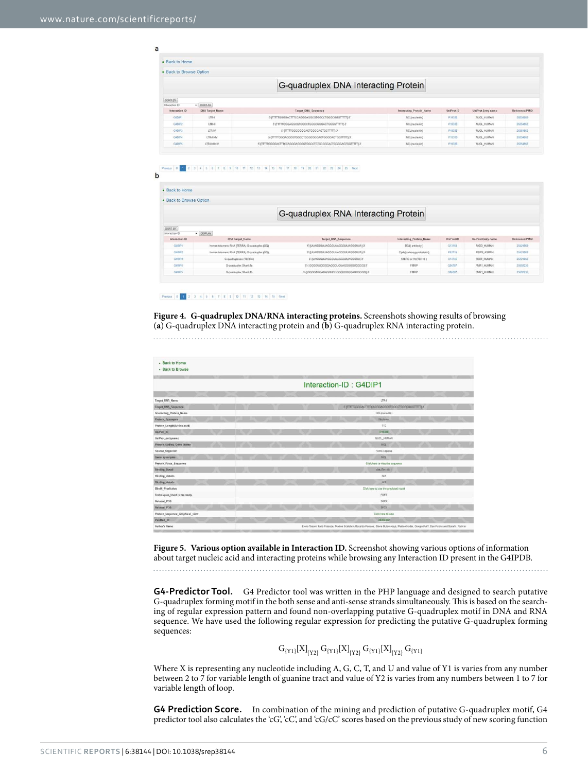a

| · Back to Home           |                        |                                                   |                          |            |                    |                |
|--------------------------|------------------------|---------------------------------------------------|--------------------------|------------|--------------------|----------------|
| . Back to Browse Option  |                        |                                                   |                          |            |                    |                |
|                          |                        | G-quadruplex DNA Interacting Protein              |                          |            |                    |                |
| SORT BY<br>Interaction @ | $-$ DISPLAY            |                                                   |                          |            |                    |                |
|                          |                        |                                                   |                          |            |                    |                |
| Interaction ID           | <b>DNA Target Name</b> | <b>Target DNA Sequence</b>                        | Interacting Protein Name | UniProt-ID | UniProt Entry name | Reference:PMID |
| <b>GANP1</b>             | LTR-8                  | 5-ITTTTGGGGACTTTCCAGGGAGGCGTGGCCTGGGCGGGTTTTT)-3* | NCL(nucleolin)           | P19338     | NUCL_HUMAN         | 26354862       |
| G4DIP2                   | LTR-III                | 5-{TTTTTGGGAGGCGTGGCCTGGGCGGGACTGGGGTTTTT)-3      | NCL(nucleolin)           | P19338     | NUCL HUMAN         | 26354862       |
| GIDIP3                   | LTR-IV                 | 5-ITTTTGGGCGGGACTGGGGAGTGGTTTTT)-3                | NCLinucleolin)           | P19338     | NUCL HUMAN         | 26354562       |
| Gining                   | LTR-II+IV              | 5-[TTTTGGGAGGCGTGGCCTGGGCGGGACTGGGGAGTGGTTTTT]-3" | NCL (nucleolin)          | P19338     | NUCL HUMAN         | 26354862       |

### 1 2 3 4 5 6 7 8 9 10 11 12 13 14 15 15 17 18 19 20 21 22 23 24 25 Next  $\mathbf b$

| · Back to Home            |                                               |                                      |                           |                       |                    |                |
|---------------------------|-----------------------------------------------|--------------------------------------|---------------------------|-----------------------|--------------------|----------------|
| · Back to Browse Option   |                                               |                                      |                           |                       |                    |                |
|                           |                                               | G-quadruplex RNA Interacting Protein |                           |                       |                    |                |
| SORT BY<br>Interaction ID | · DISPLAY                                     |                                      |                           |                       |                    |                |
| Interaction ID            | <b>RNA Target Name</b>                        | <b>Target RNA Sequence</b>           | Interacting Protein Name  | UniProt <sub>10</sub> | UniProt-Entry name | Reference:PMID |
| G4RIP1                    | human telomenc RNA (TERRA) G-quadruplex (GQ)  | 5-IUUAGGGUUAGGGUUAGGGUUAGGGUUAI-3'   | BG4( antibody )           | Q13158                | FADD HUMAN         | 26821962       |
| <b>GARIP?</b>             | human telomeric RNA (TERRA) G-quadruplex (GQ) | 5-IUUAGGGUUAGGGUUAGGGUUAGGGUUAI-3'   | Cods(carboxypyridostatin) | P52719                | PEPS ASPPH         | 25421562       |
| GARIP3                    | G-quadruplexes (TERRA)                        | 5-(UAGGGUUAGGGUUAGGGUUAGGGUU)-3'     | hTERC or Htr(TER18)       | D14746                | TERT HUMAN         | 25421962       |
| GARIP4                    | G-quadruplex Shank1a                          | 5-1 GGGGUUGGGGAGGGUGUAGGGGGUGGGG1-3  | <b>FMRP</b>               | Q06787                | FMR1 HUMAN         | 25692235       |
| GARIPS:                   | G-quadruplex Shank1b                          | 51 GGGGAGGAGAGGUCGGGGUGGGGAGUGGGG)3  | <b>FMRP</b>               | OD5787                | FMR1. HUMAN        | 25692235       |

<span id="page-5-0"></span>**Figure 4. G-quadruplex DNA/RNA interacting proteins.** Screenshots showing results of browsing (**a**) G-quadruplex DNA interacting protein and (**b**) G-quadruplex RNA interacting protein. 

| - Back to Home<br>- Back to Browse |  |  |                        |                                                  |  |
|------------------------------------|--|--|------------------------|--------------------------------------------------|--|
|                                    |  |  | Interaction-ID: G4DIP1 |                                                  |  |
| Target DNA Name                    |  |  |                        | LTR4                                             |  |
| Target DNA Sequence                |  |  |                        | S-ITTTTGGGGACTTECCAGGGAGGCGTGGCCTGGGCGGGTTTTT) 3 |  |
| Interacting Protein Name           |  |  |                        | NCL(nuclealis)                                   |  |
| Protein Synonyms                   |  |  |                        | Nucleoin                                         |  |
| Protein_Length(Amino-acid)         |  |  |                        | 710                                              |  |
| UniProt 10                         |  |  |                        | P19338                                           |  |
| UniProt_entryname                  |  |  |                        | NUCL_HUMAN                                       |  |
| Protein coding Gene Name           |  |  |                        | <b>NOL</b>                                       |  |
| Source Organism                    |  |  |                        | Homo sapiens                                     |  |
| Geno_synonyms                      |  |  |                        | NCL                                              |  |
| Protein Fasta Sequence             |  |  |                        | Click here to view the sequence                  |  |
| <b>Binding Detail</b>              |  |  |                        | dettaTm=18.1                                     |  |
| <b>Binding details</b>             |  |  |                        | <b>N/A</b>                                       |  |
| <b>Binding details</b>             |  |  |                        | N/A                                              |  |
| <b>BindN</b> Prediction            |  |  |                        | Click here to see the predicted result           |  |
| Techniques Used in the study       |  |  |                        | FRET                                             |  |
| Related PDB                        |  |  |                        | 2KRR                                             |  |
| Related PDB                        |  |  |                        | 2FC8                                             |  |
| Protein sequence Graphical view    |  |  |                        | Click here to yew.                               |  |
| Publied ID                         |  |  |                        | 26354362                                         |  |

<span id="page-5-1"></span>**Figure 5. Various option available in Interaction ID.** Screenshot showing various options of information about target nucleic acid and interacting proteins while browsing any Interaction ID present in the G4IPDB.

**G4-Predictor Tool.** G4 Predictor tool was written in the PHP language and designed to search putative G-quadruplex forming motif in the both sense and anti-sense strands simultaneously. This is based on the searching of regular expression pattern and found non-overlapping putative G-quadruplex motif in DNA and RNA sequence. We have used the following regular expression for predicting the putative G-quadruplex forming sequences:

$$
G_{\{Y1\}}[X]_{\{Y2\}}\,G_{\{Y1\}}[X]_{\{Y2\}}\,G_{\{Y1\}}[X]_{\{Y2\}}\,G_{\{Y1\}}
$$

Where X is representing any nucleotide including A, G, C, T, and U and value of Y1 is varies from any number between 2 to 7 for variable length of guanine tract and value of Y2 is varies from any numbers between 1 to 7 for variable length of loop.

**G4 Prediction Score.** In combination of the mining and prediction of putative G-quadruplex motif, G4 predictor tool also calculates the 'cG', 'cC', and 'cG/cC' scores based on the previous study of new scoring function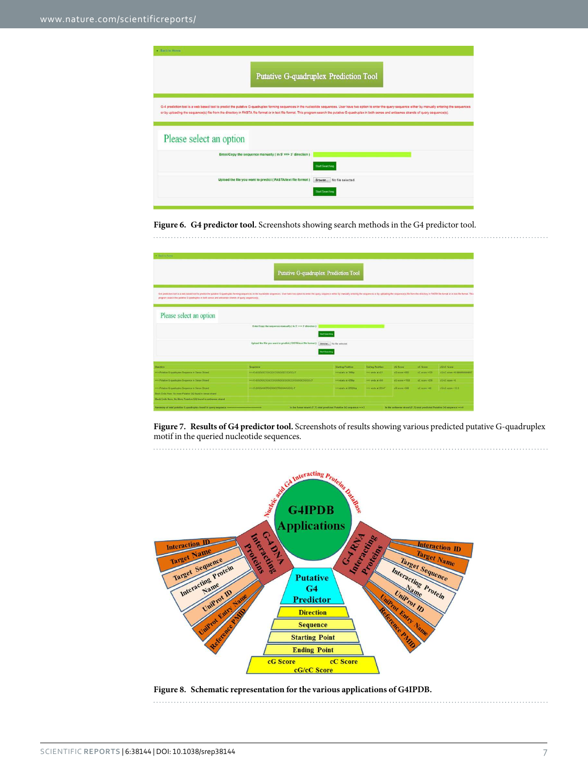| · Back to Home                                                                                                                                                                                               |                                                                                                                                                                                                                        |
|--------------------------------------------------------------------------------------------------------------------------------------------------------------------------------------------------------------|------------------------------------------------------------------------------------------------------------------------------------------------------------------------------------------------------------------------|
|                                                                                                                                                                                                              | Putative G-quadruplex Prediction Tool                                                                                                                                                                                  |
| or by uploading the sequence(s) file from the directory in FASTA file format or in text file format. This program search the putative G-quadruplex in both sense and antisense strands of query sequence(s). | G-4 prediction tool is a web based tool to predict the putative G-quadruplex forming sequences in the nucleotide sequences. User have two option to enter the query sequence either by manually entering the sequences |
| Please select an option                                                                                                                                                                                      |                                                                                                                                                                                                                        |
| Enter/Copy the sequence manually ( in 5' $\equiv$ $\Rightarrow$ 3' direction )                                                                                                                               | <b>Start Searching</b>                                                                                                                                                                                                 |
| Upload the file you want to predict (FASTA/text file format)                                                                                                                                                 | Browse No file selected.<br><b>Start Searching</b>                                                                                                                                                                     |
|                                                                                                                                                                                                              |                                                                                                                                                                                                                        |

# <span id="page-6-0"></span>**Figure 6. G4 predictor tool.** Screenshots showing search methods in the G4 predictor tool.

| · Electric Moment                                                                                                                                                                                                                                                                                                                                                             |                                                              |                                                                         |                        |                |               |                                                                             |  |  |  |
|-------------------------------------------------------------------------------------------------------------------------------------------------------------------------------------------------------------------------------------------------------------------------------------------------------------------------------------------------------------------------------|--------------------------------------------------------------|-------------------------------------------------------------------------|------------------------|----------------|---------------|-----------------------------------------------------------------------------|--|--|--|
| Putative G-quadruplex Prediction Tool<br>G-4 prediction tool is a web based tool to predict the publishe G-quadrigher forming sequences in the nucleolide sequence. User have two option to enter the query sequence either by manually entering the sequences or by up<br>program swarth the putative G-quadruplex in both sense and antisemee strands of query sequence(s). |                                                              |                                                                         |                        |                |               |                                                                             |  |  |  |
| Please select an option                                                                                                                                                                                                                                                                                                                                                       | Enter/Copy the sequence manually ( in 5' == > 3' direction ) | Start Searching                                                         |                        |                |               |                                                                             |  |  |  |
|                                                                                                                                                                                                                                                                                                                                                                               | Upload the file you want to prodict (FASTA/text file format) | Browse No file selected<br>Start Searching                              |                        |                |               |                                                                             |  |  |  |
| <b>Direction</b>                                                                                                                                                                                                                                                                                                                                                              | Suguence                                                     | <b>Starting Position</b>                                                | <b>Enting Position</b> | oG Score       | oC Score      | cG/cC Score                                                                 |  |  |  |
| www.Putative G-quadruplex Sequence in Sense Strand                                                                                                                                                                                                                                                                                                                            |                                                              | moutants at 295bp                                                       | into ands at 421       | cG score v800  | cC score #120 | <b>CO/CC scare =6 SSEGGLEGGGET</b>                                          |  |  |  |
| nno Putative G-guadruplex Sequence in Sense Strand                                                                                                                                                                                                                                                                                                                            |                                                              | moutats at 42thp.                                                       | 600 methods            | cG score =1150 | cC score #235 | elliert score no.                                                           |  |  |  |
| was Putative G-quadruplex Sequence in Sense Strand<br>Block Exits Here, No more Putative GQ front in serge strand.<br>Block Ends Here: No More Putative GO found in astherma strand.                                                                                                                                                                                          | HAS (GODAGGTGGGGCCTGGGAAGGG) T                               | woutats at 22525hp                                                      | www.unde.ut 22647      | cG score =540  | cC score =40  | clief score +13.5                                                           |  |  |  |
|                                                                                                                                                                                                                                                                                                                                                                               |                                                              | In the Sense strand (5'-3') total predicted Putative GQ sequence --- >3 |                        |                |               | In the authentic strand (5' 3') total predicted Putative GQ sequence -- > 0 |  |  |  |

<span id="page-6-1"></span>**Figure 7. Results of G4 predictor tool.** Screenshots of results showing various predicted putative G-quadruplex motif in the queried nucleotide sequences.



# <span id="page-6-2"></span>**Figure 8. Schematic representation for the various applications of G4IPDB.**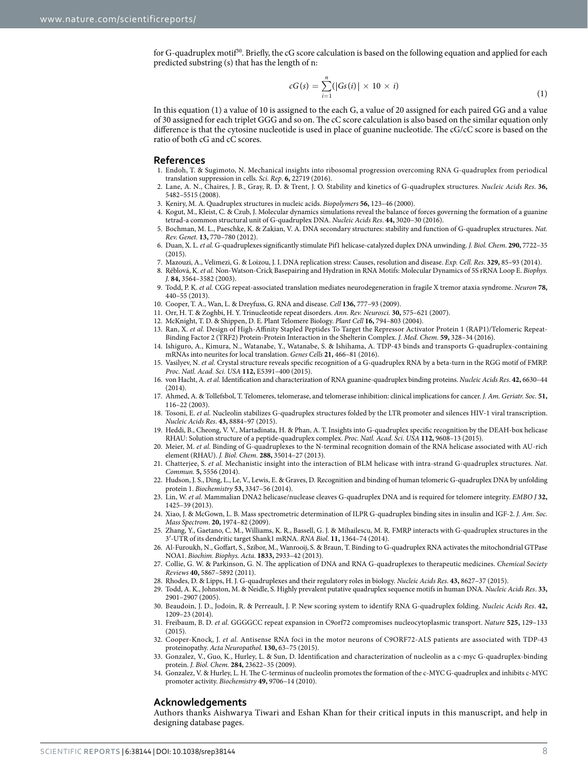for G-quadruplex motif<sup>[30](#page-7-27)</sup>. Briefly, the cG score calculation is based on the following equation and applied for each predicted substring (s) that has the length of n:

$$
cG(s) = \sum_{i=1}^{n} (|Gs(i)| \times 10 \times i)
$$
\n(1)

In this equation (1) a value of 10 is assigned to the each G, a value of 20 assigned for each paired GG and a value of 30 assigned for each triplet GGG and so on. The cC score calculation is also based on the similar equation only difference is that the cytosine nucleotide is used in place of guanine nucleotide. The cG/cC score is based on the ratio of both cG and cC scores.

## **References**

- <span id="page-7-0"></span>1. Endoh, T. & Sugimoto, N. Mechanical insights into ribosomal progression overcoming RNA G-quadruplex from periodical translation suppression in cells. Sci. Rep. **6,** 22719 (2016).
- <span id="page-7-1"></span>2. Lane, A. N., Chaires, J. B., Gray, R. D. & Trent, J. O. Stability and kinetics of G-quadruplex structures. Nucleic Acids Res. **36,** 5482–5515 (2008).
- <span id="page-7-2"></span>3. Keniry, M. A. Quadruplex structures in nucleic acids. Biopolymers **56,** 123–46 (2000).
- <span id="page-7-3"></span>4. Kogut, M., Kleist, C. & Czub, J. Molecular dynamics simulations reveal the balance of forces governing the formation of a guanine tetrad-a common structural unit of G-quadruplex DNA. Nucleic Acids Res. **44,** 3020–30 (2016).
- <span id="page-7-4"></span>5. Bochman, M. L., Paeschke, K. & Zakian, V. A. DNA secondary structures: stability and function of G-quadruplex structures. Nat. Rev. Genet. **13,** 770–780 (2012).
- <span id="page-7-5"></span>6. Duan, X. L. et al. G-quadruplexes significantly stimulate Pif1 helicase-catalyzed duplex DNA unwinding. J. Biol. Chem. **290,** 7722–35 (2015).
- <span id="page-7-6"></span>7. Mazouzi, A., Velimezi, G. & Loizou, J. I. DNA replication stress: Causes, resolution and disease. Exp. Cell. Res. **329,** 85–93 (2014).
- <span id="page-7-7"></span>8. Réblová, K. et al. Non-Watson-Crick Basepairing and Hydration in RNA Motifs: Molecular Dynamics of 5S rRNA Loop E. Biophys. J. **84,** 3564–3582 (2003).
- <span id="page-7-8"></span>9. Todd, P. K. et al. CGG repeat-associated translation mediates neurodegeneration in fragile X tremor ataxia syndrome. Neuron **78,** 440–55 (2013).
- 10. Cooper, T. A., Wan, L. & Dreyfuss, G. RNA and disease. Cell **136,** 777–93 (2009).
- 11. Orr, H. T. & Zoghbi, H. Y. Trinucleotide repeat disorders. Ann. Rev. Neurosci. **30,** 575–621 (2007).
- <span id="page-7-9"></span>12. McKnight, T. D. & Shippen, D. E. Plant Telomere Biology. Plant Cell **16,** 794–803 (2004).
- <span id="page-7-10"></span>13. Ran, X. et al. Design of High-Affinity Stapled Peptides To Target the Repressor Activator Protein 1 (RAP1)/Telomeric Repeat-Binding Factor 2 (TRF2) Protein-Protein Interaction in the Shelterin Complex. J. Med. Chem. **59,** 328–34 (2016).
- <span id="page-7-11"></span>14. Ishiguro, A., Kimura, N., Watanabe, Y., Watanabe, S. & Ishihama, A. TDP-43 binds and transports G-quadruplex-containing mRNAs into neurites for local translation. Genes Cells **21,** 466–81 (2016).
- <span id="page-7-12"></span>15. Vasilyev, N. et al. Crystal structure reveals specific recognition of a G-quadruplex RNA by a beta-turn in the RGG motif of FMRP. Proc. Natl. Acad. Sci. USA **112,** E5391–400 (2015).
- <span id="page-7-13"></span>16. von Hacht, A. et al. Identification and characterization of RNA guanine-quadruplex binding proteins. Nucleic Acids Res. **42,** 6630–44 (2014).
- <span id="page-7-14"></span>17. Ahmed, A. & Tollefsbol, T. Telomeres, telomerase, and telomerase inhibition: clinical implications for cancer. J. Am. Geriatr. Soc. **51,** 116–22 (2003).
- <span id="page-7-15"></span>18. Tosoni, E. et al. Nucleolin stabilizes G-quadruplex structures folded by the LTR promoter and silences HIV-1 viral transcription. Nucleic Acids Res. **43,** 8884–97 (2015).
- <span id="page-7-16"></span>19. Heddi, B., Cheong, V. V., Martadinata, H. & Phan, A. T. Insights into G-quadruplex specific recognition by the DEAH-box helicase RHAU: Solution structure of a peptide-quadruplex complex. Proc. Natl. Acad. Sci. USA **112,** 9608–13 (2015).
- <span id="page-7-17"></span>20. Meier, M. et al. Binding of G-quadruplexes to the N-terminal recognition domain of the RNA helicase associated with AU-rich element (RHAU). J. Biol. Chem. **288,** 35014–27 (2013).
- <span id="page-7-18"></span>21. Chatterjee, S. et al. Mechanistic insight into the interaction of BLM helicase with intra-strand G-quadruplex structures. Nat. Commun. **5,** 5556 (2014).
- <span id="page-7-19"></span>22. Hudson, J. S., Ding, L., Le, V., Lewis, E. & Graves, D. Recognition and binding of human telomeric G-quadruplex DNA by unfolding protein 1. Biochemistry **53,** 3347–56 (2014).
- <span id="page-7-20"></span>23. Lin, W. et al. Mammalian DNA2 helicase/nuclease cleaves G-quadruplex DNA and is required for telomere integrity. EMBO J **32,** 1425–39 (2013).
- <span id="page-7-21"></span>24. Xiao, J. & McGown, L. B. Mass spectrometric determination of ILPR G-quadruplex binding sites in insulin and IGF-2. J. Am. Soc. Mass Spectrom. **20,** 1974–82 (2009).
- <span id="page-7-22"></span>25. Zhang, Y., Gaetano, C. M., Williams, K. R., Bassell, G. J. & Mihailescu, M. R. FMRP interacts with G-quadruplex structures in the 3′ -UTR of its dendritic target Shank1 mRNA. RNA Biol. **11,** 1364–74 (2014).
- <span id="page-7-23"></span>26. Al-Furoukh, N., Goffart, S., Szibor, M., Wanrooij, S. & Braun, T. Binding to G-quadruplex RNA activates the mitochondrial GTPase NOA1. Biochim. Biophys. Acta. **1833,** 2933–42 (2013).
- <span id="page-7-24"></span>27. Collie, G. W. & Parkinson, G. N. The application of DNA and RNA G-quadruplexes to therapeutic medicines. Chemical Society Reviews **40,** 5867–5892 (2011).
- <span id="page-7-26"></span><span id="page-7-25"></span>28. Rhodes, D. & Lipps, H. J. G-quadruplexes and their regulatory roles in biology. Nucleic Acids Res. **43,** 8627–37 (2015).
- 29. Todd, A. K., Johnston, M. & Neidle, S. Highly prevalent putative quadruplex sequence motifs in human DNA. Nucleic Acids Res. **33,** 2901–2907 (2005).
- <span id="page-7-27"></span>30. Beaudoin, J. D., Jodoin, R. & Perreault, J. P. New scoring system to identify RNA G-quadruplex folding. Nucleic Acids Res. **42,** 1209–23 (2014).
- <span id="page-7-28"></span>31. Freibaum, B. D. et al. GGGGCC repeat expansion in C9orf72 compromises nucleocytoplasmic transport. Nature **525,** 129–133  $(2015)$
- <span id="page-7-29"></span>32. Cooper-Knock, J. et al. Antisense RNA foci in the motor neurons of C9ORF72-ALS patients are associated with TDP-43 proteinopathy. Acta Neuropathol. **130,** 63–75 (2015).
- <span id="page-7-30"></span>33. Gonzalez, V., Guo, K., Hurley, L. & Sun, D. Identification and characterization of nucleolin as a c-myc G-quadruplex-binding protein. J. Biol. Chem. **284,** 23622–35 (2009).
- <span id="page-7-31"></span>34. Gonzalez, V. & Hurley, L. H. The C-terminus of nucleolin promotes the formation of the c-MYC G-quadruplex and inhibits c-MYC promoter activity. Biochemistry **49,** 9706–14 (2010).

# **Acknowledgements**

Authors thanks Aishwarya Tiwari and Eshan Khan for their critical inputs in this manuscript, and help in designing database pages.